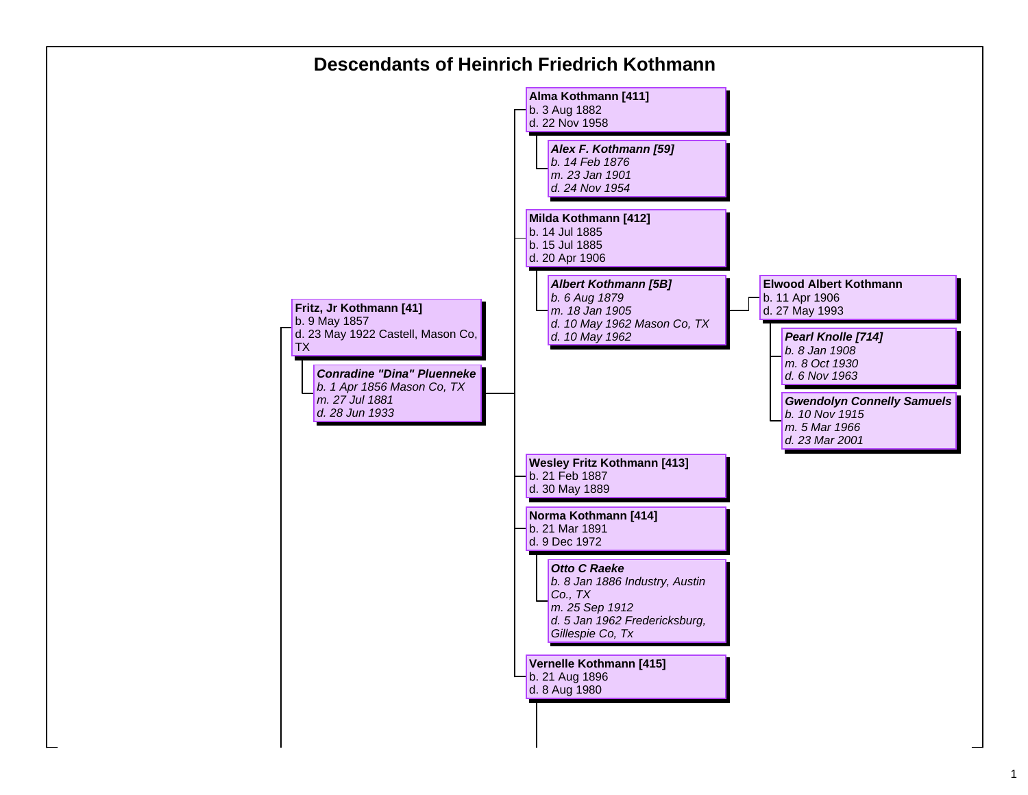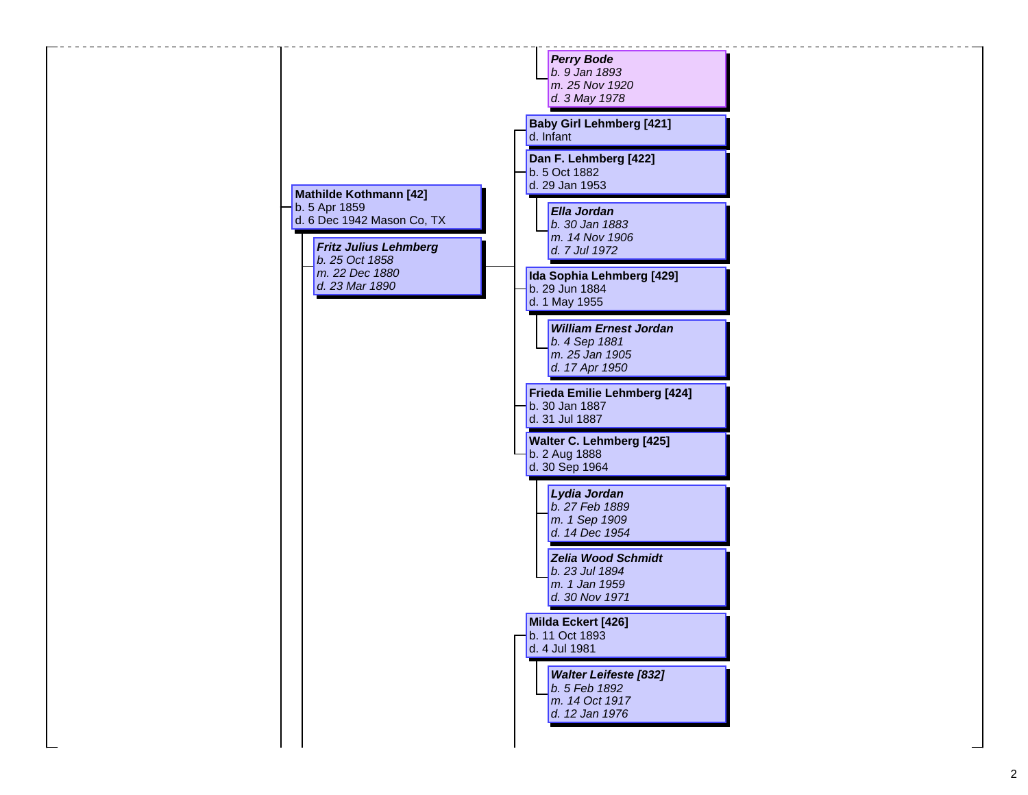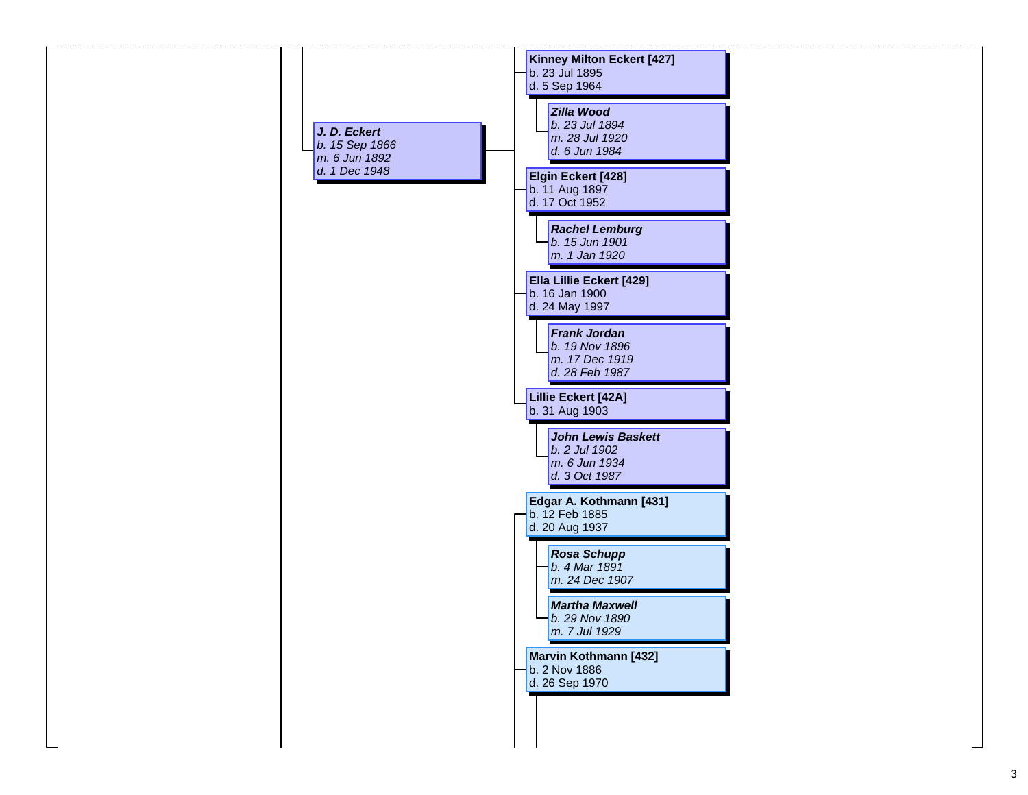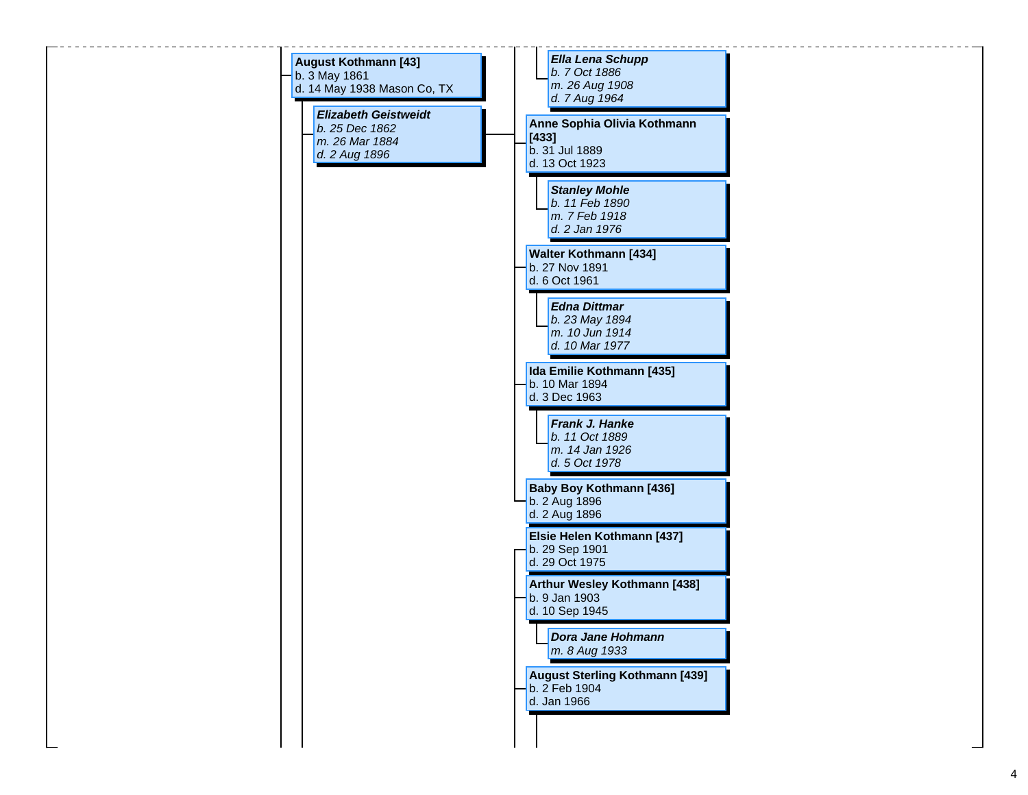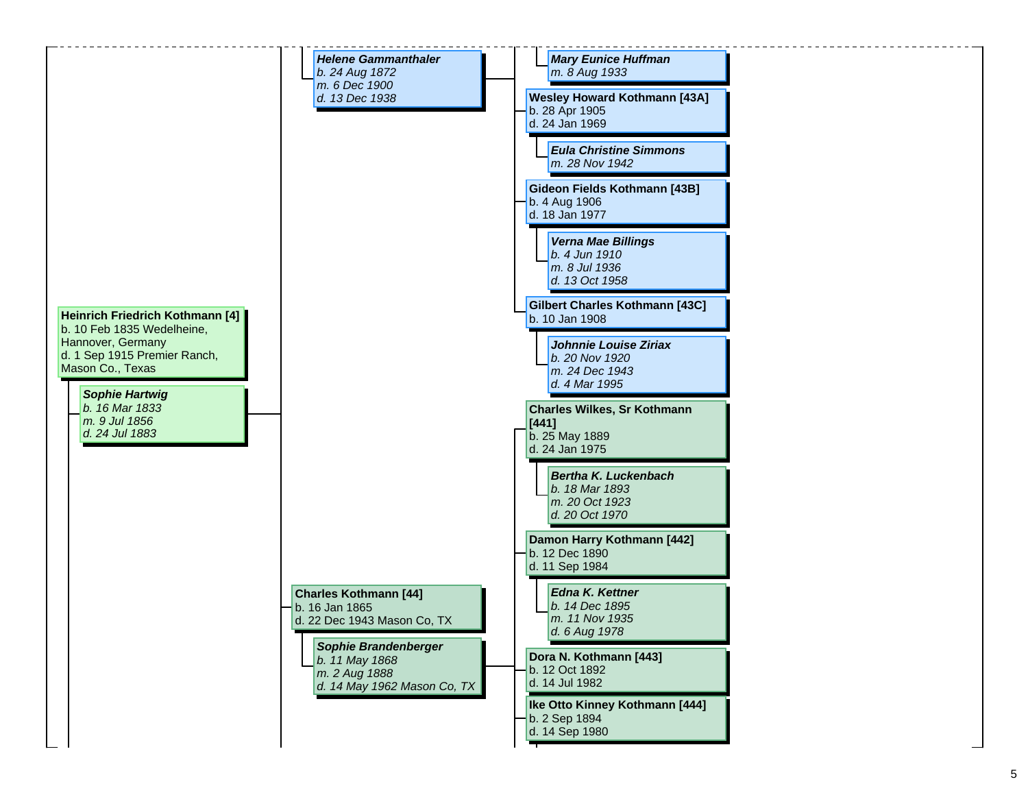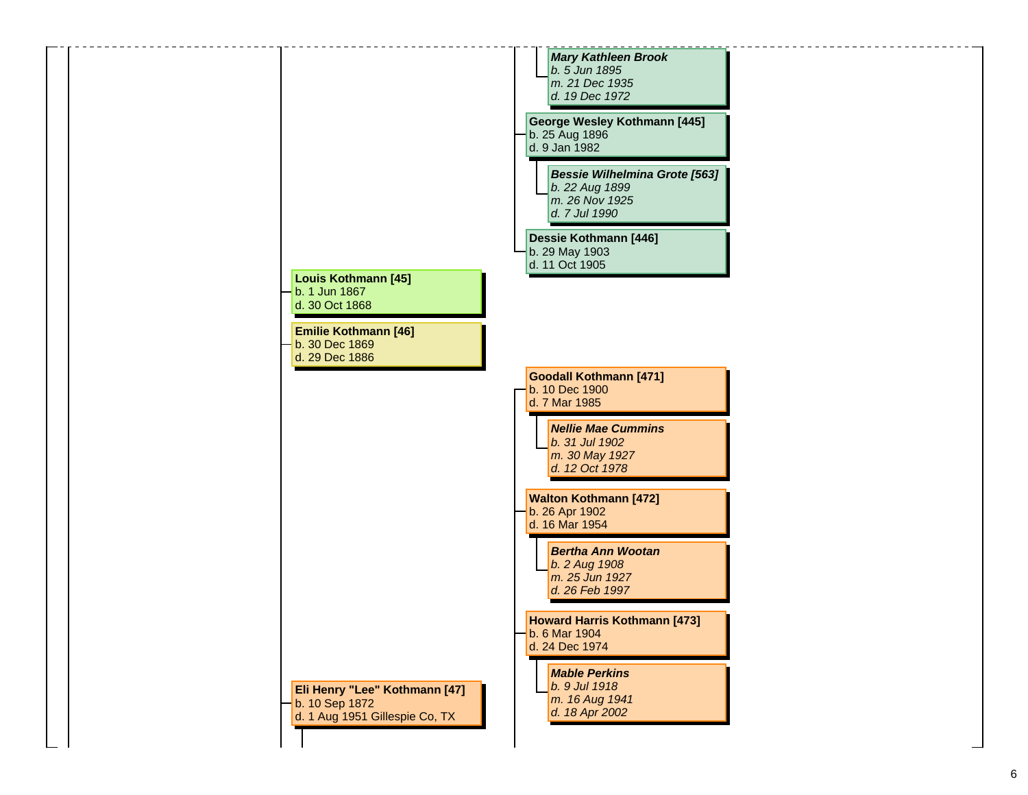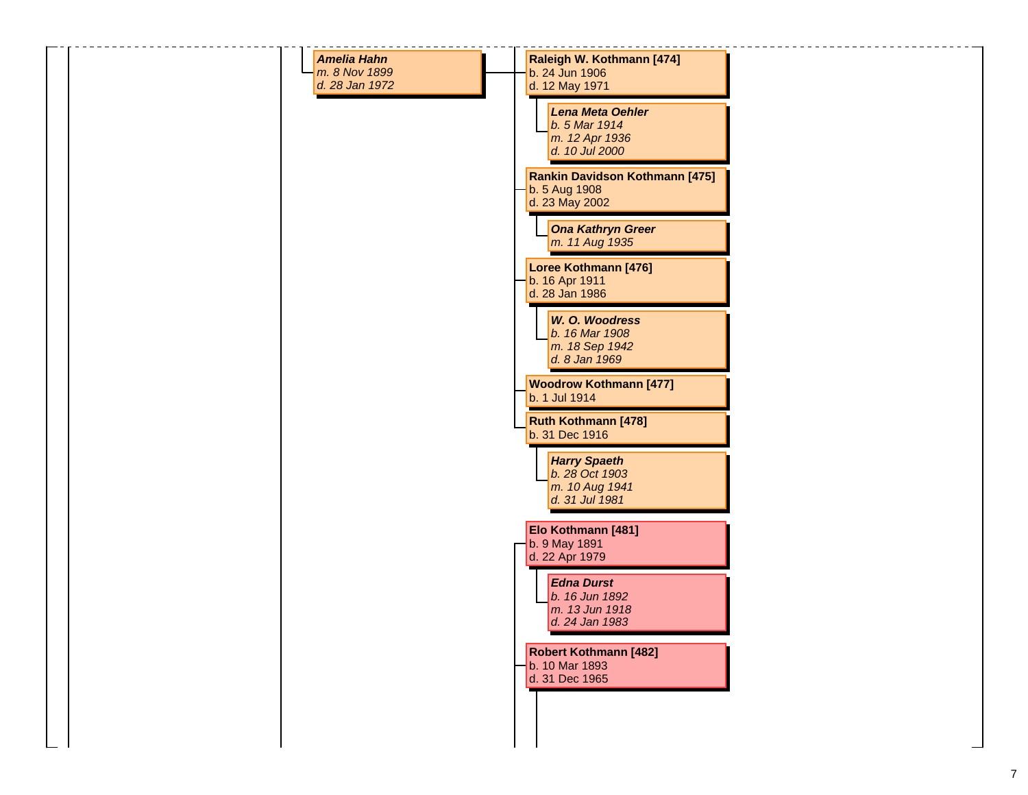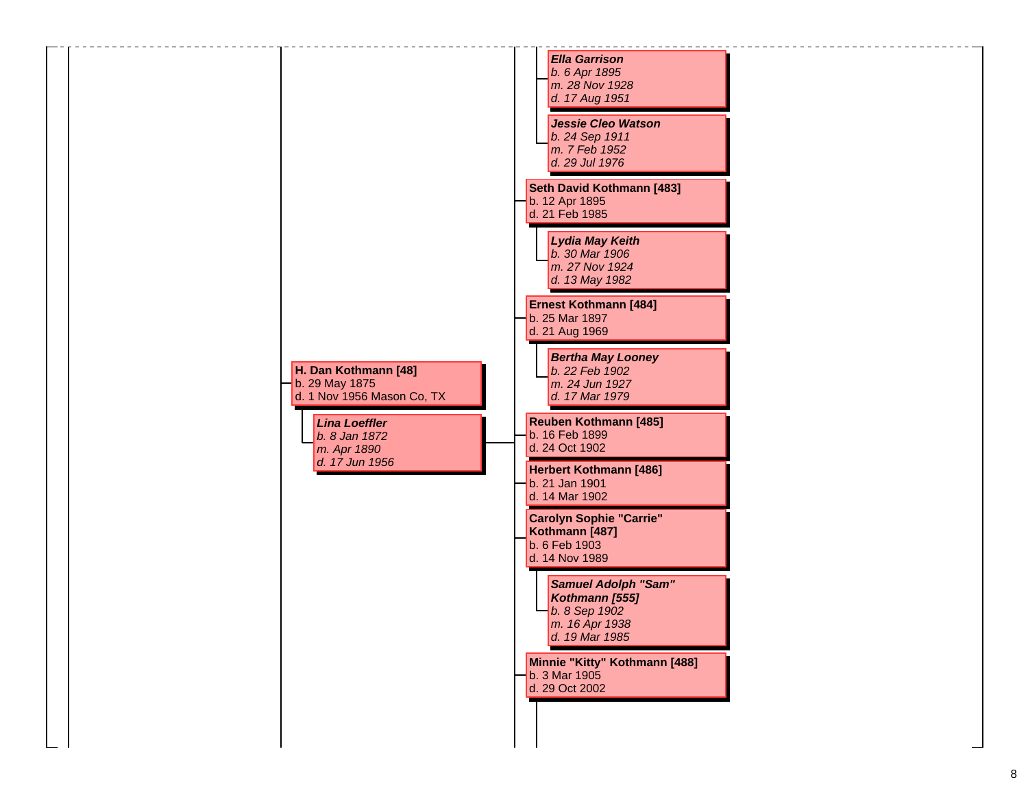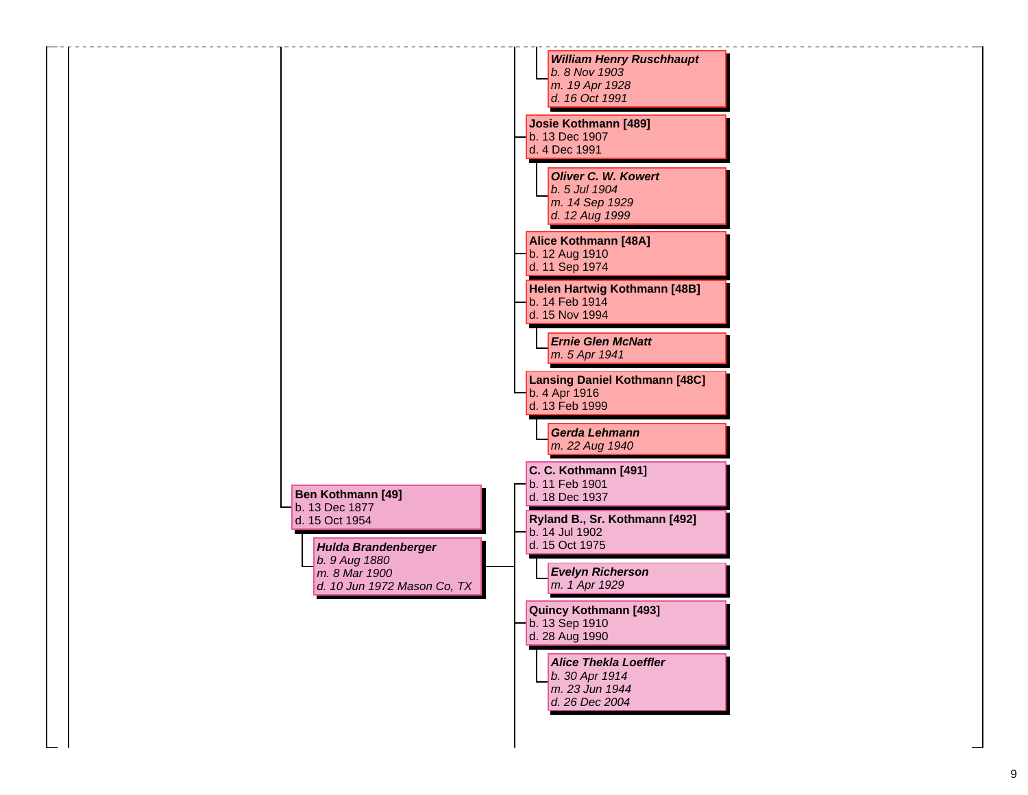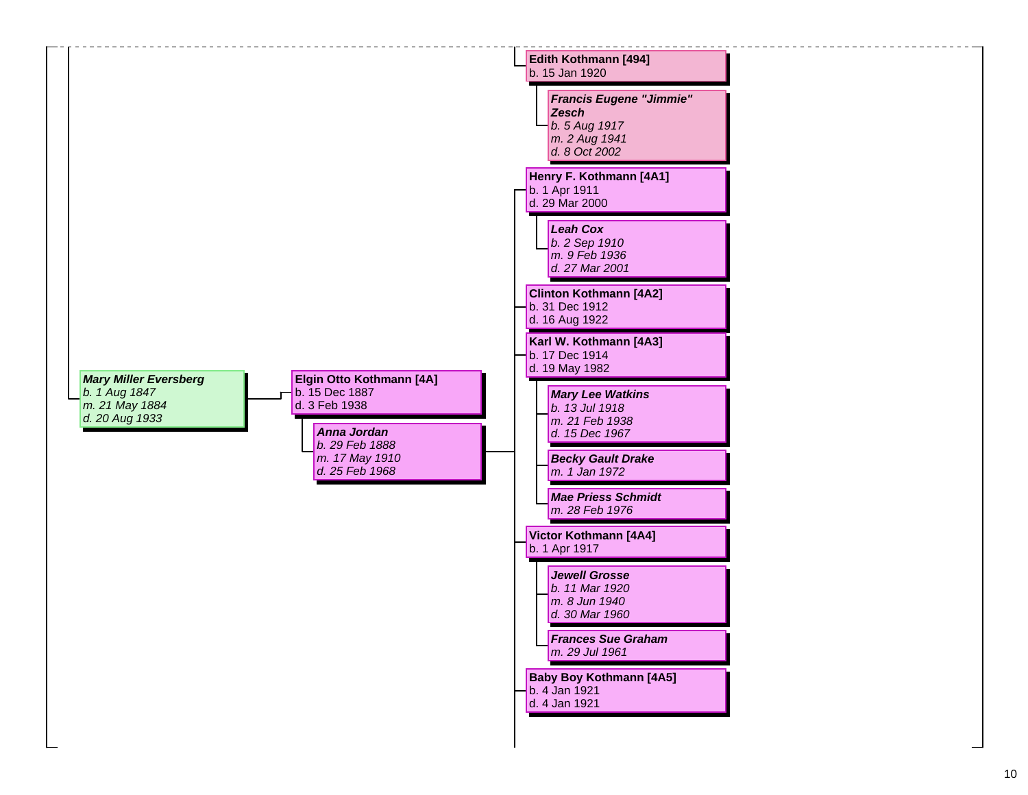